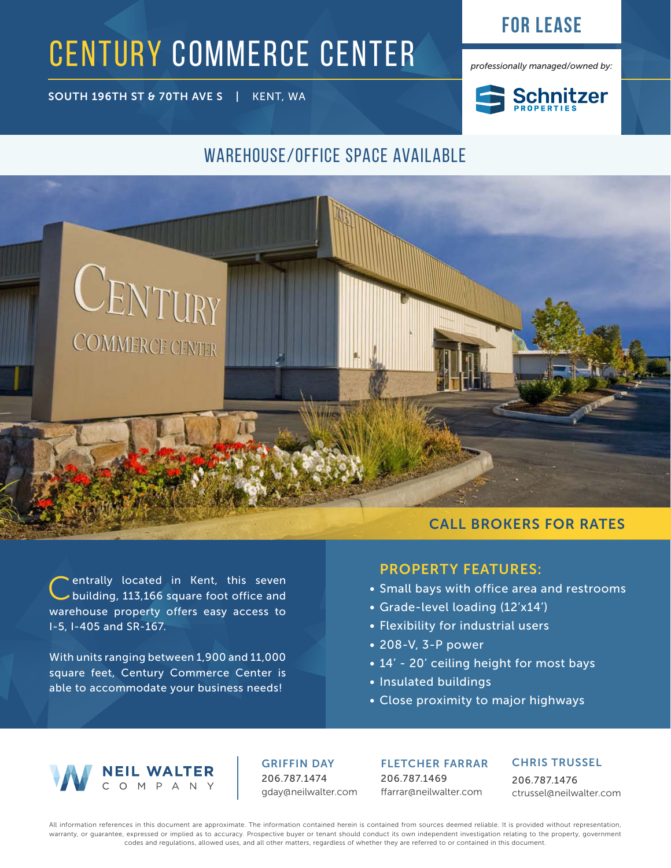## **For lease**

*professionally managed/owned by:*

CENTURY COMMERCE CENTER

SOUTH 196TH ST & 70TH AVE S | KENT, WA



### WAREHOUSE/OFFICE SPACE AVAILABLE



#### Centrally located in Kent, this seven building, 113,166 square foot office and warehouse property offers easy access to I-5, I-405 and SR-167.

With units ranging between 1,900 and 11,000 square feet, Century Commerce Center is able to accommodate your business needs!

# PROPERTY FEATURES:

- Small bays with office area and restrooms
- Grade-level loading (12'x14')
- Flexibility for industrial users
- 208-V, 3-P power
- 14' 20' ceiling height for most bays
- Insulated buildings
- Close proximity to major highways



GRIFFIN DAY 206.787.1474 gday@neilwalter.com FLETCHER FARRAR 206.787.1469 ffarrar@neilwalter.com

#### CHRIS TRUSSEL

206.787.1476 ctrussel@neilwalter.com

All information references in this document are approximate. The information contained herein is contained from sources deemed reliable. It is provided without representation, warranty, or guarantee, expressed or implied as to accuracy. Prospective buyer or tenant should conduct its own independent investigation relating to the property, government codes and regulations, allowed uses, and all other matters, regardless of whether they are referred to or contained in this document.